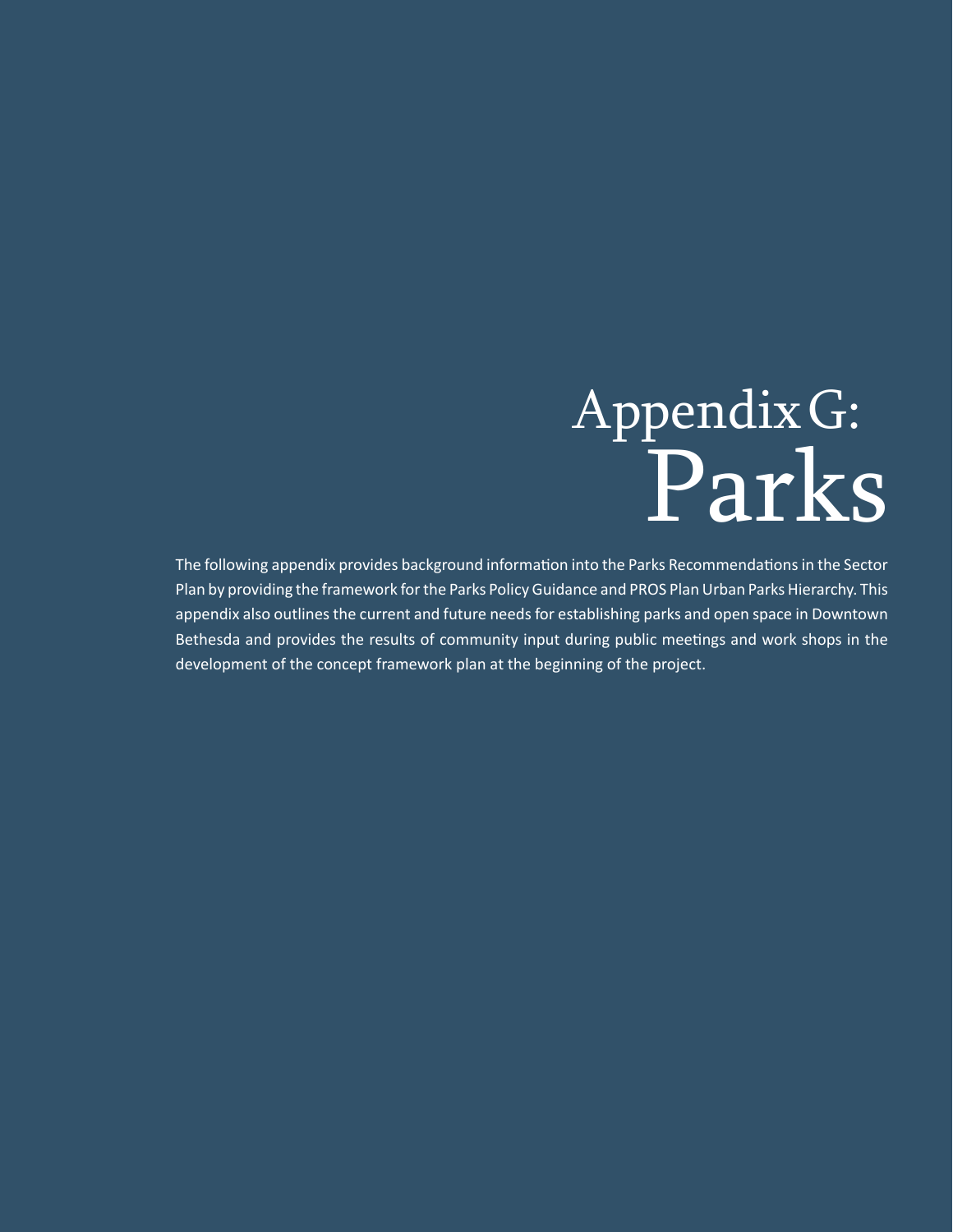# AppendixG: Parks

The following appendix provides background information into the Parks Recommendations in the Sector Plan by providing the framework for the Parks Policy Guidance and PROS Plan Urban Parks Hierarchy. This appendix also outlines the current and future needs for establishing parks and open space in Downtown Bethesda and provides the results of community input during public meetings and work shops in the development of the concept framework plan at the beginning of the project.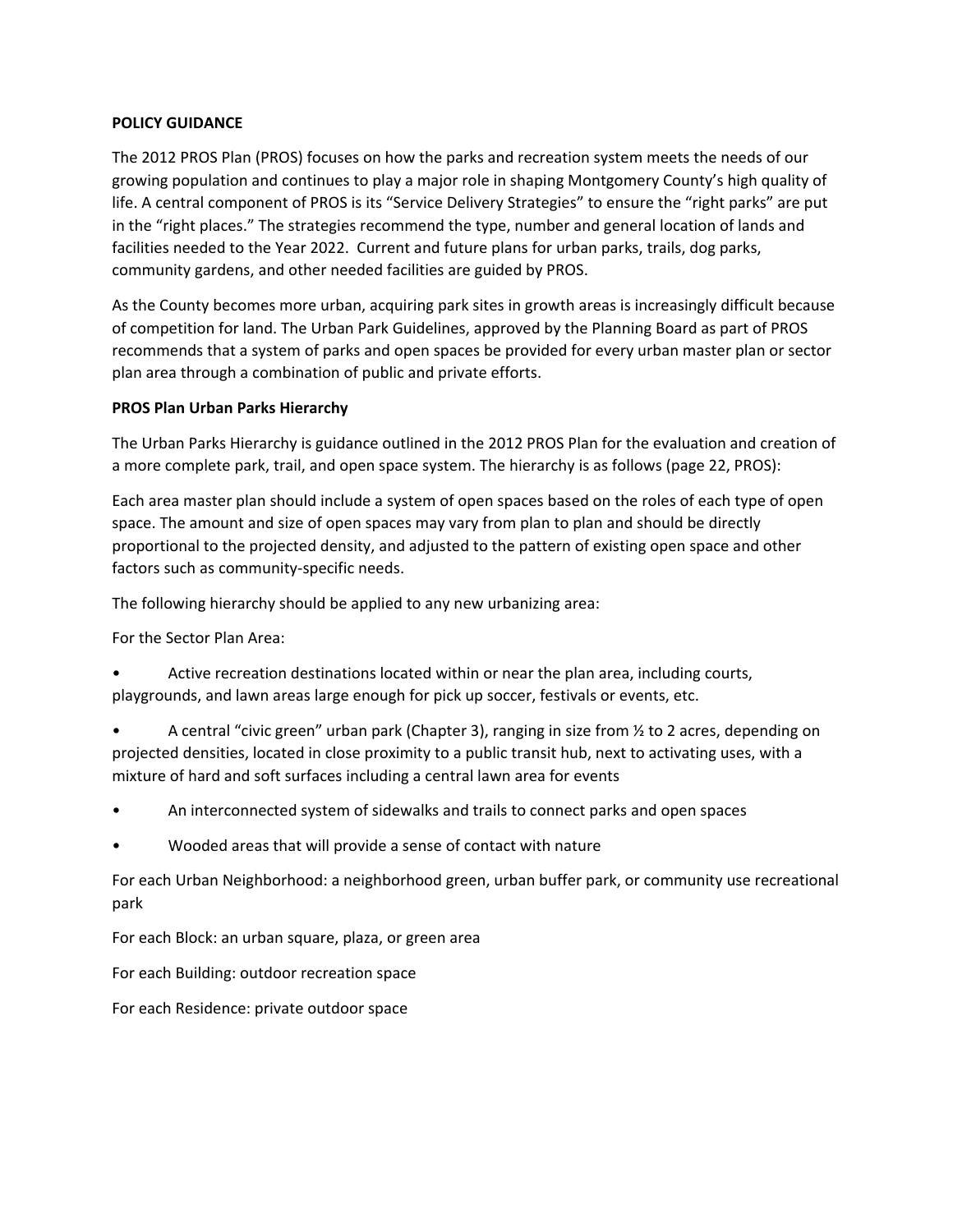#### **POLICY GUIDANCE**

The 2012 PROS Plan (PROS) focuses on how the parks and recreation system meets the needs of our growing population and continues to play a major role in shaping Montgomery County's high quality of life. A central component of PROS is its "Service Delivery Strategies" to ensure the "right parks" are put in the "right places." The strategies recommend the type, number and general location of lands and facilities needed to the Year 2022. Current and future plans for urban parks, trails, dog parks, community gardens, and other needed facilities are guided by PROS.

As the County becomes more urban, acquiring park sites in growth areas is increasingly difficult because of competition for land. The Urban Park Guidelines, approved by the Planning Board as part of PROS recommends that a system of parks and open spaces be provided for every urban master plan or sector plan area through a combination of public and private efforts.

#### **PROS Plan Urban Parks Hierarchy**

The Urban Parks Hierarchy is guidance outlined in the 2012 PROS Plan for the evaluation and creation of a more complete park, trail, and open space system. The hierarchy is as follows (page 22, PROS):

Each area master plan should include a system of open spaces based on the roles of each type of open space. The amount and size of open spaces may vary from plan to plan and should be directly proportional to the projected density, and adjusted to the pattern of existing open space and other factors such as community‐specific needs.

The following hierarchy should be applied to any new urbanizing area:

For the Sector Plan Area:

• Active recreation destinations located within or near the plan area, including courts, playgrounds, and lawn areas large enough for pick up soccer, festivals or events, etc.

• A central "civic green" urban park (Chapter 3), ranging in size from ½ to 2 acres, depending on projected densities, located in close proximity to a public transit hub, next to activating uses, with a mixture of hard and soft surfaces including a central lawn area for events

- An interconnected system of sidewalks and trails to connect parks and open spaces
- Wooded areas that will provide a sense of contact with nature

For each Urban Neighborhood: a neighborhood green, urban buffer park, or community use recreational park

For each Block: an urban square, plaza, or green area

For each Building: outdoor recreation space

For each Residence: private outdoor space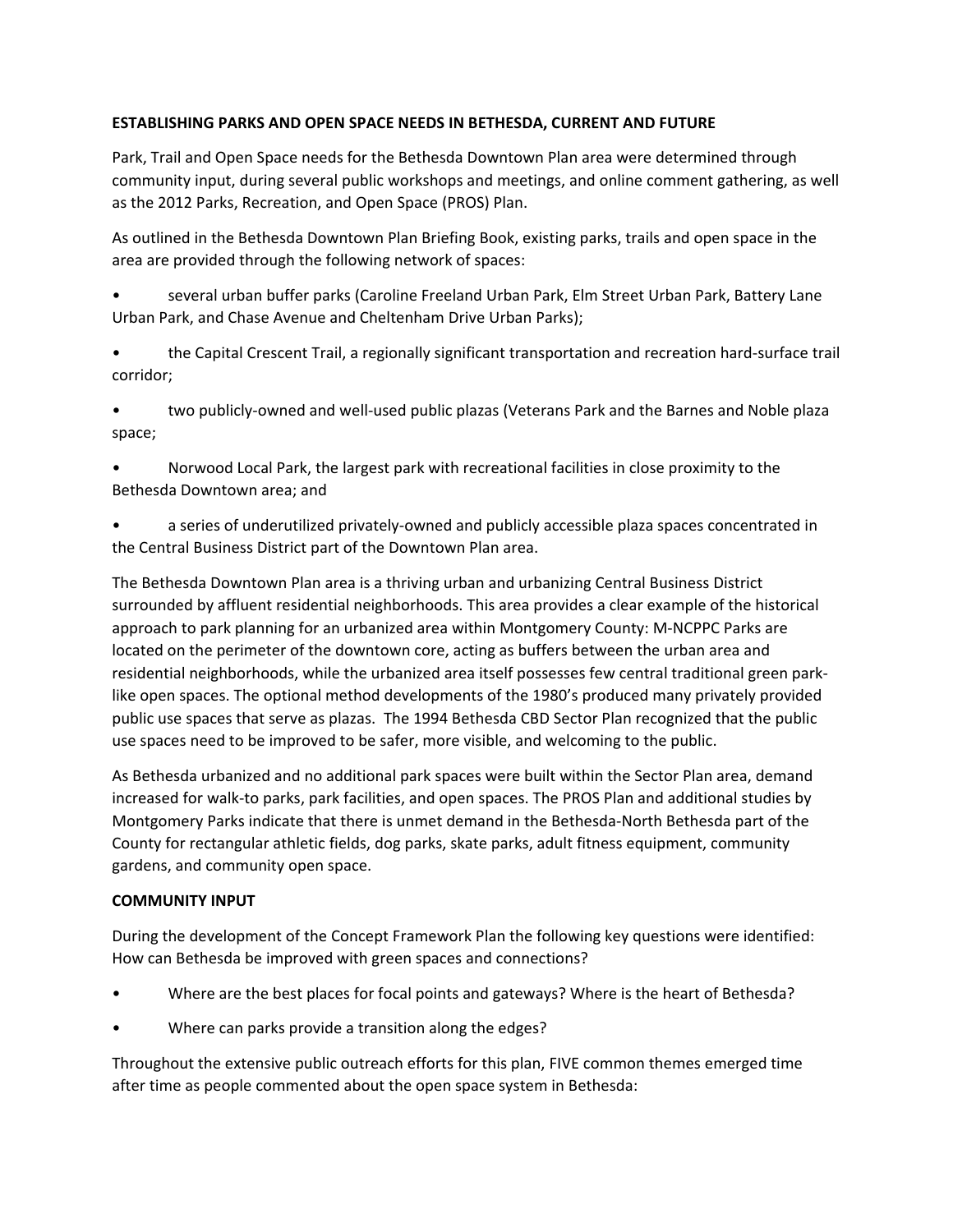#### **ESTABLISHING PARKS AND OPEN SPACE NEEDS IN BETHESDA, CURRENT AND FUTURE**

Park, Trail and Open Space needs for the Bethesda Downtown Plan area were determined through community input, during several public workshops and meetings, and online comment gathering, as well as the 2012 Parks, Recreation, and Open Space (PROS) Plan.

As outlined in the Bethesda Downtown Plan Briefing Book, existing parks, trails and open space in the area are provided through the following network of spaces:

• several urban buffer parks (Caroline Freeland Urban Park, Elm Street Urban Park, Battery Lane Urban Park, and Chase Avenue and Cheltenham Drive Urban Parks);

• the Capital Crescent Trail, a regionally significant transportation and recreation hard‐surface trail corridor;

• two publicly-owned and well-used public plazas (Veterans Park and the Barnes and Noble plaza space;

• Norwood Local Park, the largest park with recreational facilities in close proximity to the Bethesda Downtown area; and

• a series of underutilized privately‐owned and publicly accessible plaza spaces concentrated in the Central Business District part of the Downtown Plan area.

The Bethesda Downtown Plan area is a thriving urban and urbanizing Central Business District surrounded by affluent residential neighborhoods. This area provides a clear example of the historical approach to park planning for an urbanized area within Montgomery County: M‐NCPPC Parks are located on the perimeter of the downtown core, acting as buffers between the urban area and residential neighborhoods, while the urbanized area itself possesses few central traditional green park‐ like open spaces. The optional method developments of the 1980's produced many privately provided public use spaces that serve as plazas. The 1994 Bethesda CBD Sector Plan recognized that the public use spaces need to be improved to be safer, more visible, and welcoming to the public.

As Bethesda urbanized and no additional park spaces were built within the Sector Plan area, demand increased for walk‐to parks, park facilities, and open spaces. The PROS Plan and additional studies by Montgomery Parks indicate that there is unmet demand in the Bethesda‐North Bethesda part of the County for rectangular athletic fields, dog parks, skate parks, adult fitness equipment, community gardens, and community open space.

#### **COMMUNITY INPUT**

During the development of the Concept Framework Plan the following key questions were identified: How can Bethesda be improved with green spaces and connections?

- Where are the best places for focal points and gateways? Where is the heart of Bethesda?
- Where can parks provide a transition along the edges?

Throughout the extensive public outreach efforts for this plan, FIVE common themes emerged time after time as people commented about the open space system in Bethesda: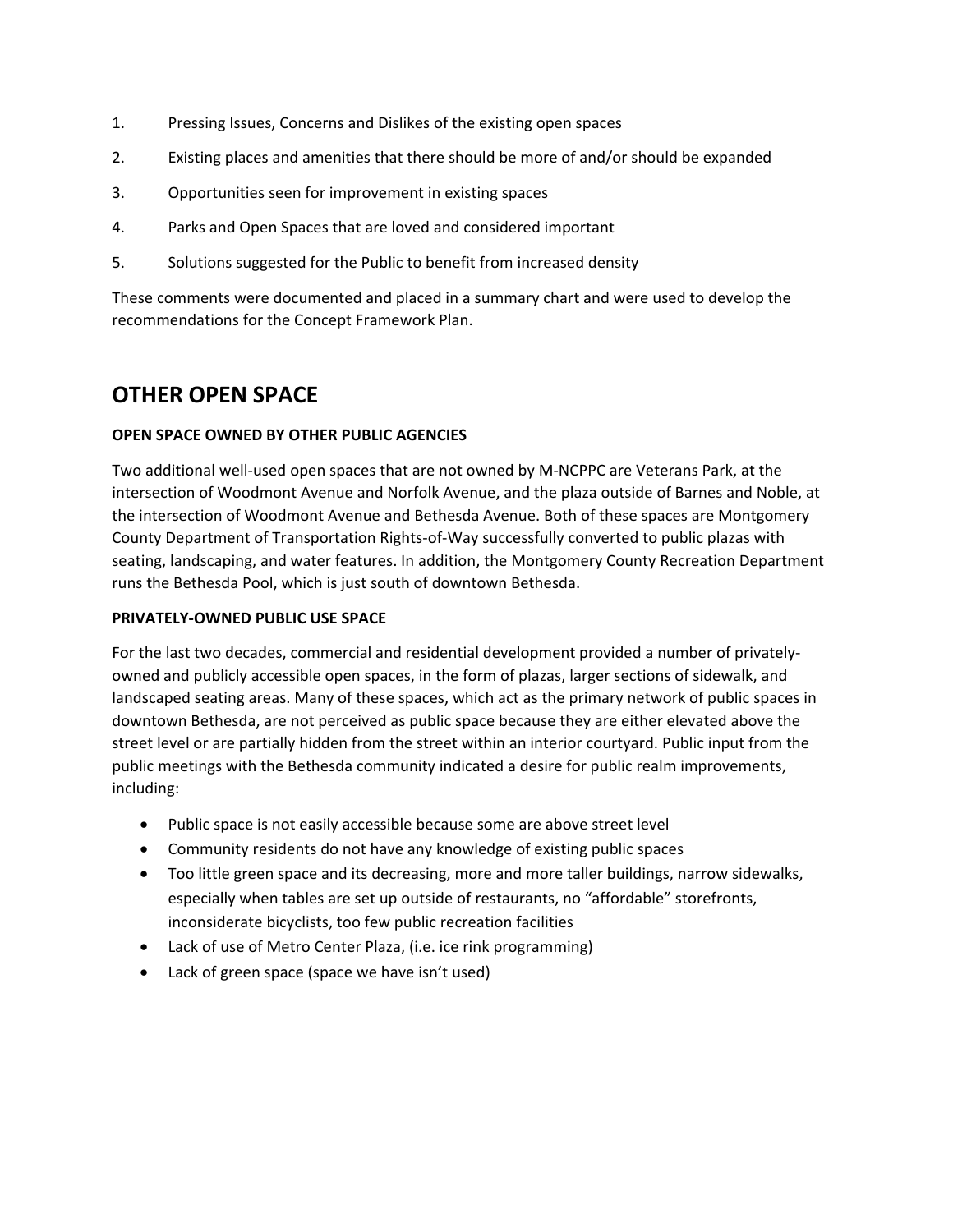- 1. Pressing Issues, Concerns and Dislikes of the existing open spaces
- 2. Existing places and amenities that there should be more of and/or should be expanded
- 3. Opportunities seen for improvement in existing spaces
- 4. Parks and Open Spaces that are loved and considered important
- 5. Solutions suggested for the Public to benefit from increased density

These comments were documented and placed in a summary chart and were used to develop the recommendations for the Concept Framework Plan.

### **OTHER OPEN SPACE**

#### **OPEN SPACE OWNED BY OTHER PUBLIC AGENCIES**

Two additional well‐used open spaces that are not owned by M‐NCPPC are Veterans Park, at the intersection of Woodmont Avenue and Norfolk Avenue, and the plaza outside of Barnes and Noble, at the intersection of Woodmont Avenue and Bethesda Avenue. Both of these spaces are Montgomery County Department of Transportation Rights‐of‐Way successfully converted to public plazas with seating, landscaping, and water features. In addition, the Montgomery County Recreation Department runs the Bethesda Pool, which is just south of downtown Bethesda.

#### **PRIVATELY‐OWNED PUBLIC USE SPACE**

For the last two decades, commercial and residential development provided a number of privately‐ owned and publicly accessible open spaces, in the form of plazas, larger sections of sidewalk, and landscaped seating areas. Many of these spaces, which act as the primary network of public spaces in downtown Bethesda, are not perceived as public space because they are either elevated above the street level or are partially hidden from the street within an interior courtyard. Public input from the public meetings with the Bethesda community indicated a desire for public realm improvements, including:

- Public space is not easily accessible because some are above street level
- Community residents do not have any knowledge of existing public spaces
- Too little green space and its decreasing, more and more taller buildings, narrow sidewalks, especially when tables are set up outside of restaurants, no "affordable" storefronts, inconsiderate bicyclists, too few public recreation facilities
- Lack of use of Metro Center Plaza, (i.e. ice rink programming)
- Lack of green space (space we have isn't used)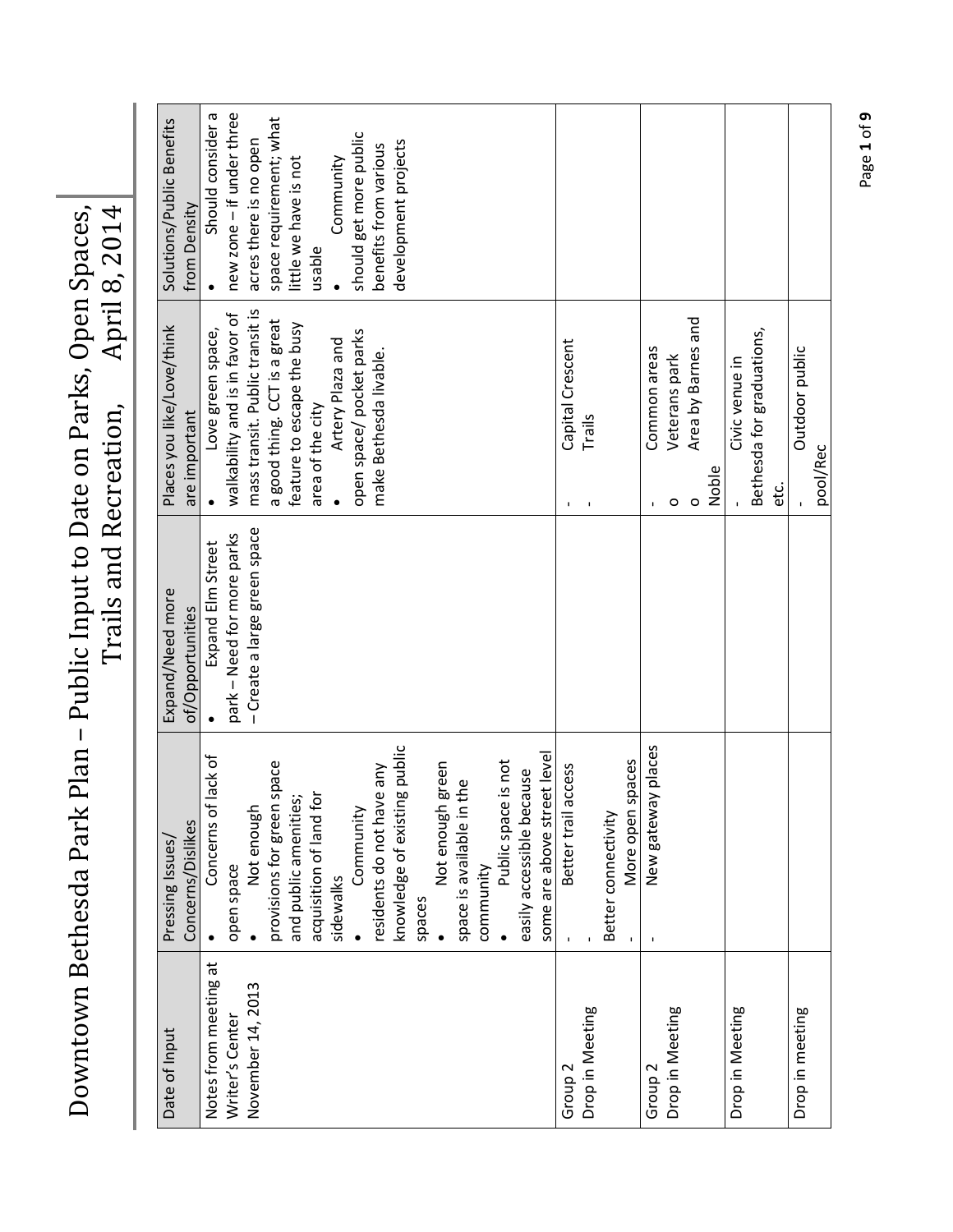Downtown Bethesda Park Plan - Public Input to Date on Parks, Open Spaces, Owntown Bethesda Park Plan - Public Input to Date on Parks, Open Spaces, Downtown Bethesda Park Plan – Public Input to Date on Parks, Open Spaces, Trails and Recreation, April 8, 2014

| Date of Input         | Concerns/Dislikes<br>Pressing Issues | Expand/Need more<br>of/Opportunities | Places you like/Love/think<br>are important | Solutions/Public Benefits<br>from Density |
|-----------------------|--------------------------------------|--------------------------------------|---------------------------------------------|-------------------------------------------|
| Notes from meeting at | lack of<br>Concerns of               | <b>Expand Elm Street</b>             | Love green space,                           | Should consider a                         |
| Writer's Center       | open space                           | park - Need for more parks           | walkability and is in favor of              | new zone - if under three                 |
| November 14, 2013     | Not enough                           | - Create a large green space         | mass transit. Public transit is             | acres there is no open                    |
|                       | provisions for green space           |                                      | a good thing. CCT is a great                | space requirement; what                   |
|                       | and public amenities;                |                                      | feature to escape the busy                  | little we have is not                     |
|                       | <b>b</b><br>acquisition of land f    |                                      | area of the city                            | usable                                    |
|                       | sidewalks                            |                                      | Artery Plaza and                            | Community                                 |
|                       | Community                            |                                      | open space/pocket parks                     | should get more public                    |
|                       | residents do not have any            |                                      | make Bethesda livable.                      | benefits from various                     |
|                       | knowledge of existing public         |                                      |                                             | development projects                      |
|                       | spaces                               |                                      |                                             |                                           |
|                       | green<br>Not enough                  |                                      |                                             |                                           |
|                       | the<br>space is available in         |                                      |                                             |                                           |
|                       | community                            |                                      |                                             |                                           |
|                       | Public space is not                  |                                      |                                             |                                           |
|                       | easily accessible because            |                                      |                                             |                                           |
|                       | some are above street level          |                                      |                                             |                                           |
| Group <sub>2</sub>    | access<br>Better trail               |                                      | Capital Crescent<br>I.                      |                                           |
| Drop in Meeting       |                                      |                                      | Trails<br>$\mathbf I$                       |                                           |
|                       | Better connectivity                  |                                      |                                             |                                           |
|                       | spaces<br>More open                  |                                      |                                             |                                           |
| Group <sub>2</sub>    | New gateway places                   |                                      | Common areas                                |                                           |
| Drop in Meeting       |                                      |                                      | Veterans park<br>$\circ$                    |                                           |
|                       |                                      |                                      | Area by Barnes and<br>$\circ$               |                                           |
|                       |                                      |                                      | Noble                                       |                                           |
| Drop in Meeting       |                                      |                                      | Civic venue in                              |                                           |
|                       |                                      |                                      | Bethesda for graduations,                   |                                           |
|                       |                                      |                                      | etc.                                        |                                           |
| Drop in meeting       |                                      |                                      | Outdoor public                              |                                           |
|                       |                                      |                                      | pool/Rec                                    |                                           |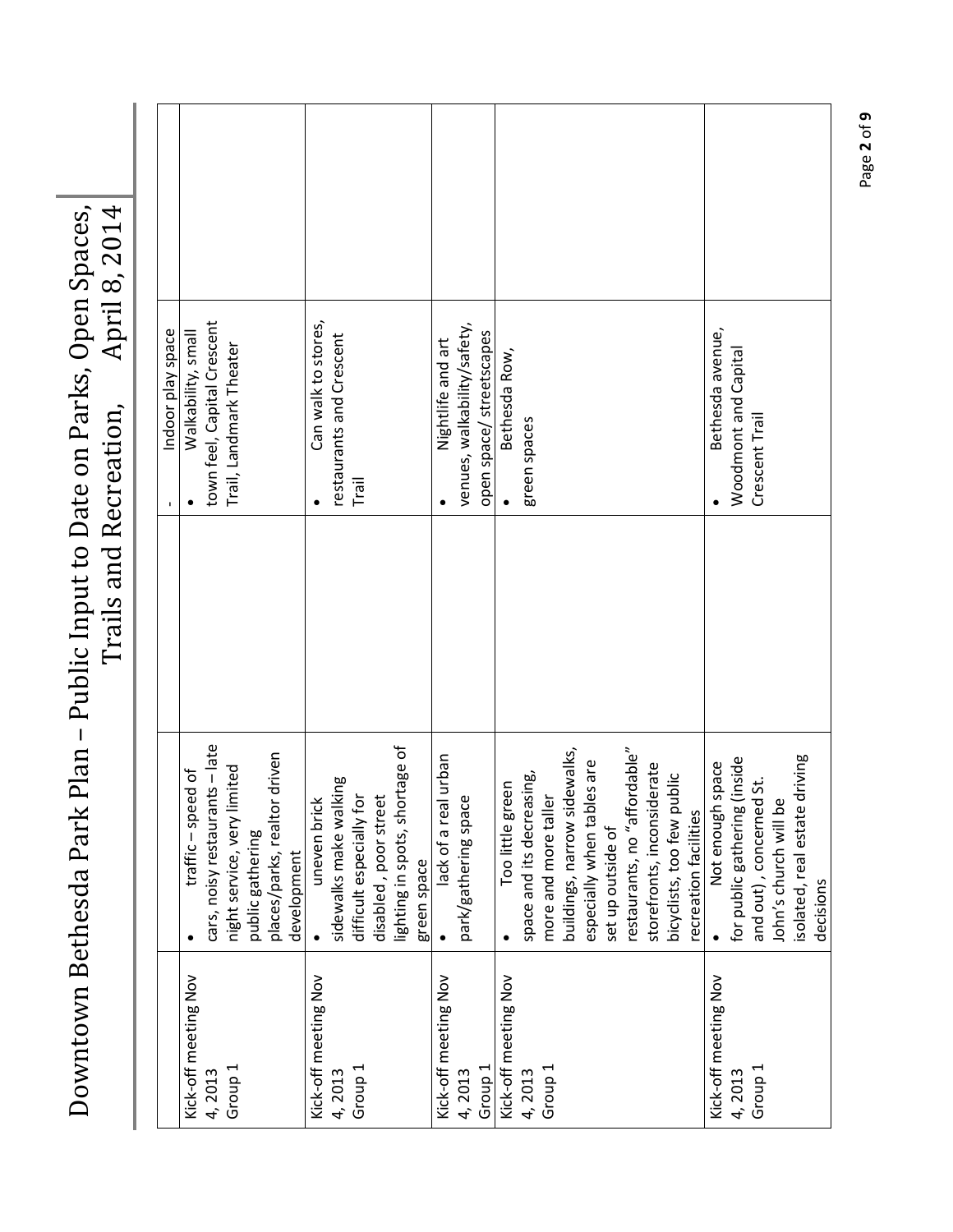| April 8, 2014<br>Public Input to Date on Parks, Open Spaces,<br>Trails and Recreation,<br>nesda Park Plan – P<br>nacı<br>Betr |           |  |
|-------------------------------------------------------------------------------------------------------------------------------|-----------|--|
|                                                                                                                               |           |  |
|                                                                                                                               | owntown l |  |

|                      |                                 | Indoor play space           |  |
|----------------------|---------------------------------|-----------------------------|--|
| Kick-off meeting Nov | traffic-speed of                | Walkability, small          |  |
| 4,2013               | cars, noisy restaurants - late  | town feel, Capital Crescent |  |
| Group <sub>1</sub>   | night service, very limited     | Trail, Landmark Theater     |  |
|                      | public gathering                |                             |  |
|                      | driven<br>places/parks, realtor |                             |  |
|                      | development                     |                             |  |
| Kick-off meeting Nov | uneven brick                    | Can walk to stores,         |  |
| 4,2013               | sidewalks make walking          | restaurants and Crescent    |  |
| Group <sub>1</sub>   | difficult especially for        | Trail                       |  |
|                      | disabled, poor street           |                             |  |
|                      | lighting in spots, shortage of  |                             |  |
|                      | green space                     |                             |  |
| Kick-off meeting Nov | lack of a real urban            | Nightlife and art           |  |
| 4,2013               | park/gathering space            | venues, walkability/safety, |  |
| Group <sub>1</sub>   |                                 | open space/ streetscapes    |  |
| Kick-off meeting Nov | Too little green                | Bethesda Row,               |  |
| 4,2013               | space and its decreasing,       | green spaces                |  |
| Group <sub>1</sub>   | more and more taller            |                             |  |
|                      | buildings, narrow sidewalks,    |                             |  |
|                      | especially when tables are      |                             |  |
|                      | set up outside of               |                             |  |
|                      | restaurants, no "affordable"    |                             |  |
|                      | storefronts, inconsiderate      |                             |  |
|                      | bicyclists, too few public      |                             |  |
|                      | recreation facilities           |                             |  |
| Kick-off meeting Nov | Not enough space                | Bethesda avenue,            |  |
| 4,2013               | (inside<br>for public gathering | Woodmont and Capital        |  |
| Group <sub>1</sub>   | 5i<br>and out), concerned       | Crescent Trail              |  |
|                      | John's church will be           |                             |  |
|                      | isolated, real estate driving   |                             |  |
|                      | decisions                       |                             |  |

Page **2** of **9**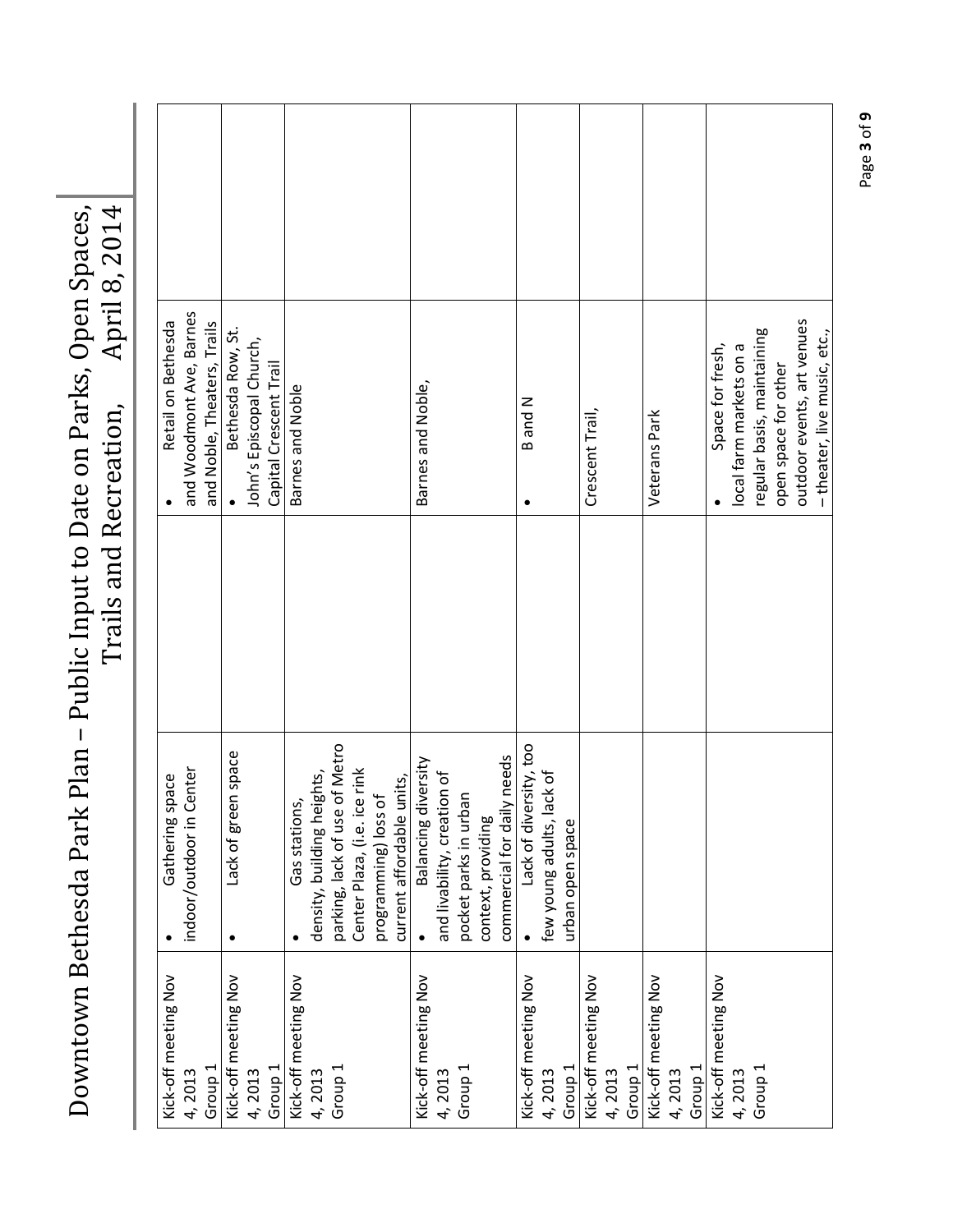|  | Retail on Bethesda   | and Woodmont Ave, Barnes | and Noble, Theaters, Trails | Bethesda Row, St.    | John's Episcopal Church, | Capital Crescent Trail | Barnes and Noble     |                            |                               |                                                      |                           | Barnes and Noble,    |                             |                       |                    |                            | B and N<br>$\bullet$   |                           |                    | Crescent Trail,      |        |                    | Veterans Park        |        |                    | Space for fresh,     | local farm markets on a | regular basis, maintaining | open space for other | outdoor events, art venues | -theater, live music, etc., |
|--|----------------------|--------------------------|-----------------------------|----------------------|--------------------------|------------------------|----------------------|----------------------------|-------------------------------|------------------------------------------------------|---------------------------|----------------------|-----------------------------|-----------------------|--------------------|----------------------------|------------------------|---------------------------|--------------------|----------------------|--------|--------------------|----------------------|--------|--------------------|----------------------|-------------------------|----------------------------|----------------------|----------------------------|-----------------------------|
|  |                      |                          |                             |                      |                          |                        |                      |                            |                               |                                                      |                           |                      |                             |                       |                    |                            |                        |                           |                    |                      |        |                    |                      |        |                    |                      |                         |                            |                      |                            |                             |
|  | pace<br>Gathering sp | indoor/outdoor in Center |                             | Lack of green space  |                          |                        | Gas stations,        | density, building heights, | parking, lack of use of Metro | Center Plaza, (i.e. ice rink<br>programming) loss of | current affordable units, | Balancing diversity  | and livability, creation of | pocket parks in urban | context, providing | commercial for daily needs | Lack of diversity, too | few young adults, lack of | urban open space   |                      |        |                    |                      |        |                    |                      |                         |                            |                      |                            |                             |
|  | Kick-off meeting Nov | 4,2013                   | Group <sub>1</sub>          | Kick-off meeting Nov | 4,2013                   | Group <sub>1</sub>     | Kick-off meeting Nov | 4,2013                     | Group <sub>1</sub>            |                                                      |                           | Kick-off meeting Nov | 4,2013                      | Group <sub>1</sub>    |                    |                            | Kick-off meeting Nov   | 4,2013                    | Group <sub>1</sub> | Kick-off meeting Nov | 4,2013 | Group <sub>1</sub> | Kick-off meeting Nov | 4,2013 | Group <sub>1</sub> | Kick-off meeting Nov | 4,2013                  | Group <sub>1</sub>         |                      |                            |                             |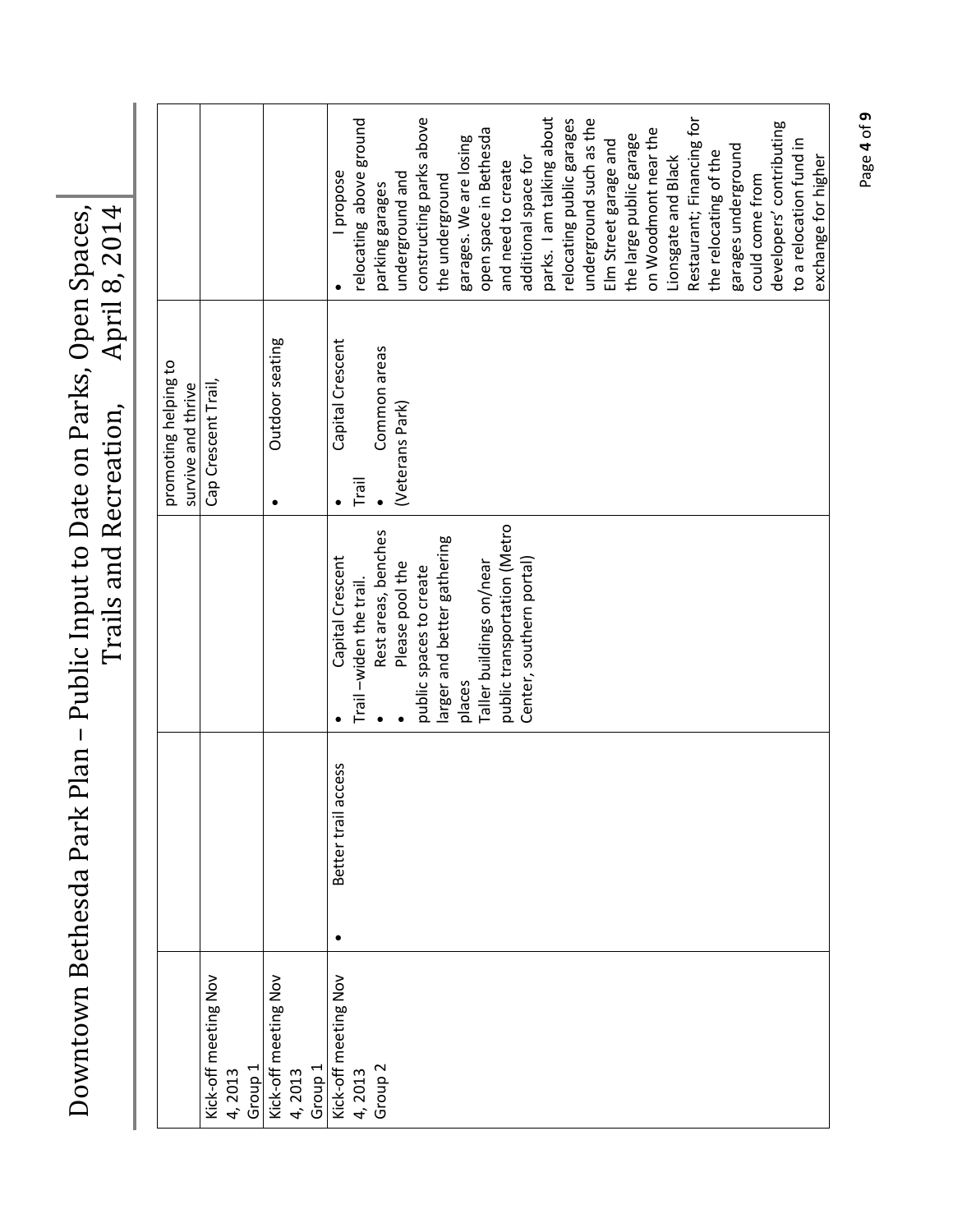Downtown Bethesda Park Plan - Public Input to Date on Parks, Open Spaces, Owntown Bethesda Park Plan - Public Input to Date on Parks, Open Spaces, Downtown Bethesda Park Plan – Public Input to Date on Parks, Open Spaces, Trails and Recreation, April 8, 2014

|                                |                        |                              | promoting helping to<br>survive and thrive |                           |
|--------------------------------|------------------------|------------------------------|--------------------------------------------|---------------------------|
| Kick-off meeting Nov<br>4,2013 |                        |                              | Cap Crescent Trail,                        |                           |
| Group <sub>1</sub>             |                        |                              |                                            |                           |
| Kick-off meeting Nov           |                        |                              | Outdoor seating<br>٠                       |                           |
| Group <sub>1</sub><br>4,2013   |                        |                              |                                            |                           |
| Kick-off meeting Nov           | access<br>Better trail | Capital Crescent             | Capital Crescent                           | propose                   |
| 4,2013                         |                        | Trail-widen the trail.       | Trail                                      | relocating above ground   |
| Group <sub>2</sub>             |                        | Rest areas, benches          | Common areas                               | parking garages           |
|                                |                        | Please pool the              | (Veterans Park)                            | underground and           |
|                                |                        | public spaces to create      |                                            | constructing parks above  |
|                                |                        | larger and better gathering  |                                            | the underground           |
|                                |                        | places                       |                                            | garages. We are losing    |
|                                |                        | Taller buildings on/near     |                                            | open space in Bethesda    |
|                                |                        | public transportation (Metro |                                            | and need to create        |
|                                |                        | Center, southern portal)     |                                            | additional space for      |
|                                |                        |                              |                                            | parks. I am talking about |
|                                |                        |                              |                                            | relocating public garages |
|                                |                        |                              |                                            | underground such as the   |
|                                |                        |                              |                                            | Elm Street garage and     |
|                                |                        |                              |                                            | the large public garage   |
|                                |                        |                              |                                            | on Woodmont near the      |
|                                |                        |                              |                                            | Lionsgate and Black       |
|                                |                        |                              |                                            | Restaurant; Financing for |
|                                |                        |                              |                                            | the relocating of the     |
|                                |                        |                              |                                            | garages underground       |
|                                |                        |                              |                                            | could come from           |
|                                |                        |                              |                                            | developers' contributing  |
|                                |                        |                              |                                            | to a relocation fund in   |
|                                |                        |                              |                                            | exchange for higher       |

Page **4** of **9**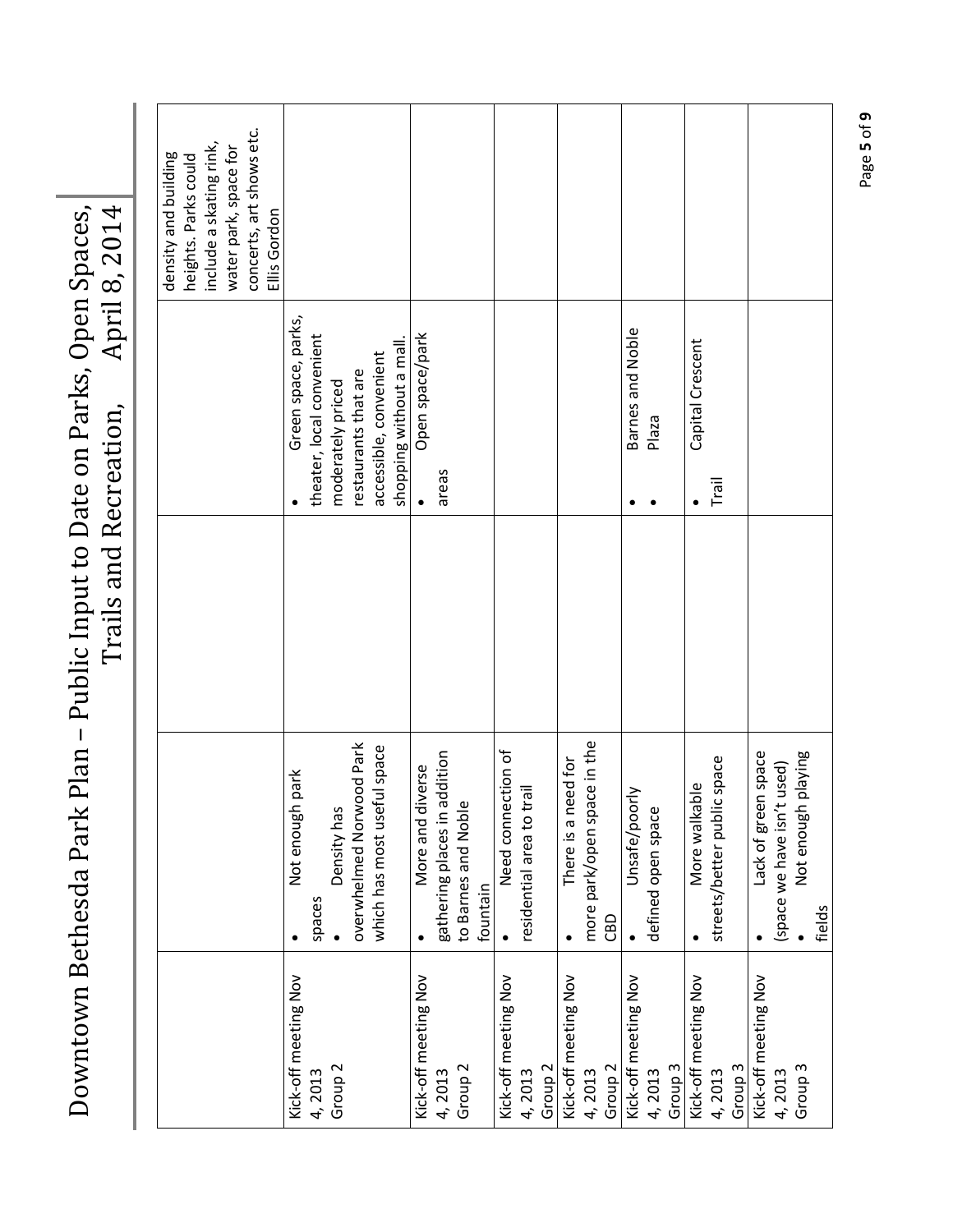|                      |                                  |                           | density and building<br>heights. Parks could |
|----------------------|----------------------------------|---------------------------|----------------------------------------------|
|                      |                                  |                           | include a skating rink,                      |
|                      |                                  |                           | water park, space for                        |
|                      |                                  |                           | concerts, art shows etc.                     |
|                      |                                  |                           | Ellis Gordon                                 |
| Kick-off meeting Nov | park<br>Not enough               | Green space, parks,       |                                              |
| 4,2013               | spaces                           | theater, local convenient |                                              |
| Group <sub>2</sub>   | Density has                      | moderately priced         |                                              |
|                      | overwhelmed Norwood Park         | restaurants that are      |                                              |
|                      | ful space<br>which has most usef | accessible, convenient    |                                              |
|                      |                                  | shopping without a mall.  |                                              |
| Kick-off meeting Nov | iverse<br>More and d             | Open space/park           |                                              |
| 4,2013               | gathering places in addition     | areas                     |                                              |
| Group <sub>2</sub>   | to Barnes and Noble              |                           |                                              |
|                      | fountain                         |                           |                                              |
| Kick-off meeting Nov | Need connection of               |                           |                                              |
| 4,2013               | lie.<br>residential area to tr   |                           |                                              |
| Group <sub>2</sub>   |                                  |                           |                                              |
| Kick-off meeting Nov | There is a need for              |                           |                                              |
| 4,2013               | more park/open space in the      |                           |                                              |
| Group <sub>2</sub>   | CBD                              |                           |                                              |
| Kick-off meeting Nov | Unsafe/poorly                    | Barnes and Noble          |                                              |
| 4,2013               | defined open space               | Plaza                     |                                              |
| Group <sub>3</sub>   |                                  |                           |                                              |
| Kick-off meeting Nov | More walkable                    | Capital Crescent          |                                              |
| 4,2013               | streets/better public space      | Trail                     |                                              |
| Group <sub>3</sub>   |                                  |                           |                                              |
| Kick-off meeting Nov | n space<br>Lack of gree          |                           |                                              |
| 4,2013               | (space we have isn't used)       |                           |                                              |
| Group <sub>3</sub>   | playing<br>Not enough            |                           |                                              |
|                      | fields                           |                           |                                              |

Downtown Bethesda Park Plan - Public Input to Date on Parks, Open Spaces, Downtown Bethesda Park Plan – Public Input to Date on Parks, Open Spaces, Trails and Recreation, April 8, 2014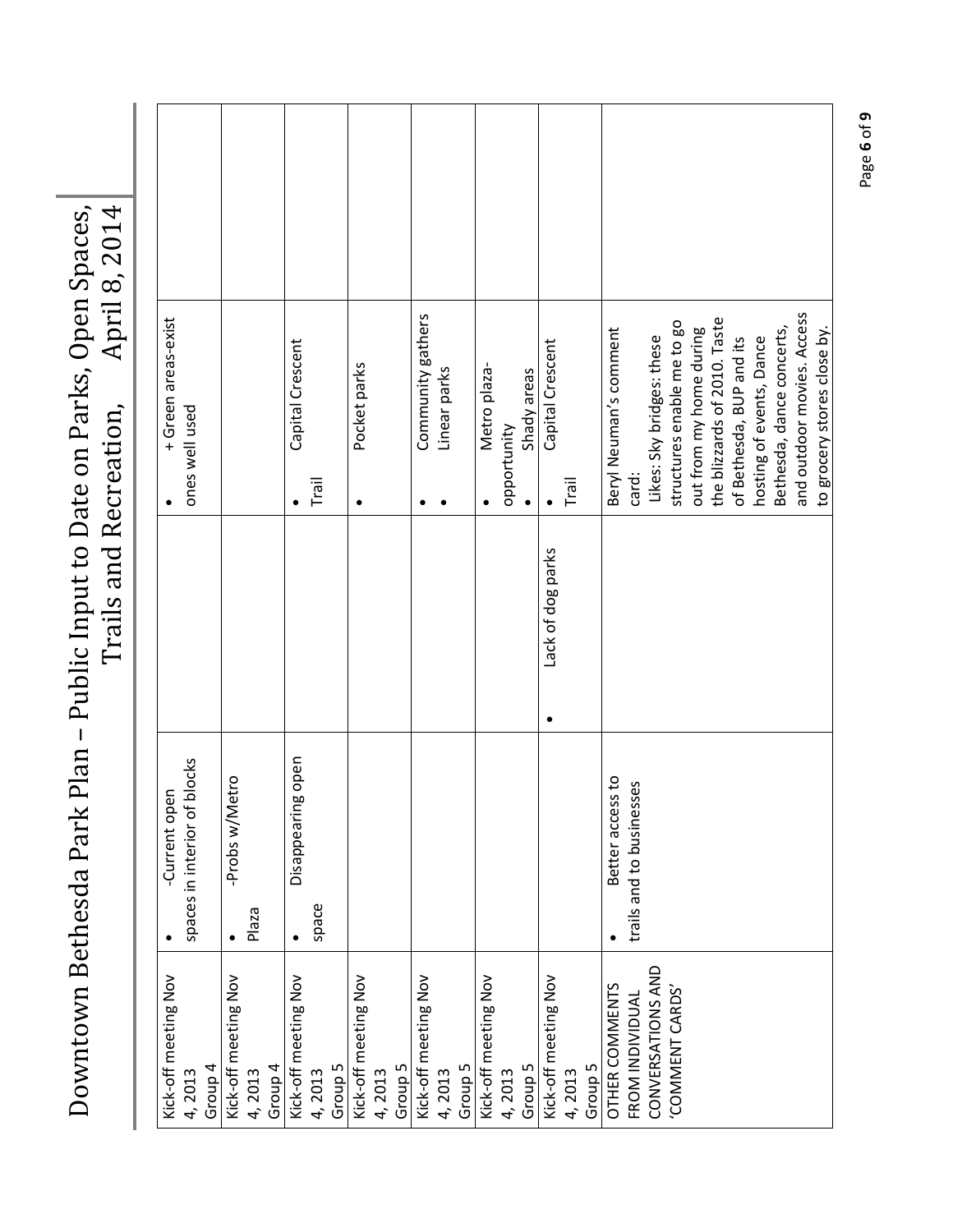| 18, 2014<br>April                                                                                          |  |
|------------------------------------------------------------------------------------------------------------|--|
|                                                                                                            |  |
| da Park Plan - Public Input to Date on Parks, Open Spaces,  <br>Trails and Recreation,<br>Downtown Bethesd |  |

| + Green areas-exist<br>ones well used                |                                           | Capital Crescent<br>Trail                 | Pocket parks<br>$\bullet$                 | Community gathers<br>Linear parks         | Metro plaza-<br>Shady areas<br>opportunity | Capital Crescent<br>Trail                 | and outdoor movies. Access<br>the blizzards of 2010. Taste<br>structures enable me to go<br>Beryl Neuman's comment<br>out from my home during<br>Bethesda, dance concerts,<br>to grocery stores close by.<br>Likes: Sky bridges: these<br>hosting of events, Dance<br>of Bethesda, BUP and its<br>card: |
|------------------------------------------------------|-------------------------------------------|-------------------------------------------|-------------------------------------------|-------------------------------------------|--------------------------------------------|-------------------------------------------|---------------------------------------------------------------------------------------------------------------------------------------------------------------------------------------------------------------------------------------------------------------------------------------------------------|
|                                                      |                                           |                                           |                                           |                                           |                                            | Lack of dog parks                         |                                                                                                                                                                                                                                                                                                         |
| blocks<br>-Current open<br>spaces in interior of     | etro<br>-Probs w/M<br>Plaza               | g open<br>Disappearin<br>space            |                                           |                                           |                                            |                                           | Better access to<br>trails and to businesses                                                                                                                                                                                                                                                            |
| Kick-off meeting Nov<br>Group <sub>4</sub><br>4,2013 | Kick-off meeting Nov<br>Group 4<br>4,2013 | Kick-off meeting Nov<br>Group 5<br>4,2013 | Kick-off meeting Nov<br>Group 5<br>4,2013 | Kick-off meeting Nov<br>Group 5<br>4,2013 | Kick-off meeting Nov<br>Group 5<br>4,2013  | Kick-off meeting Nov<br>Group 5<br>4,2013 | CONVERSATIONS AND<br>OTHER COMMENTS<br>'COMMENT CARDS'<br>FROM INDIVIDUAL                                                                                                                                                                                                                               |

Page **6** of **9**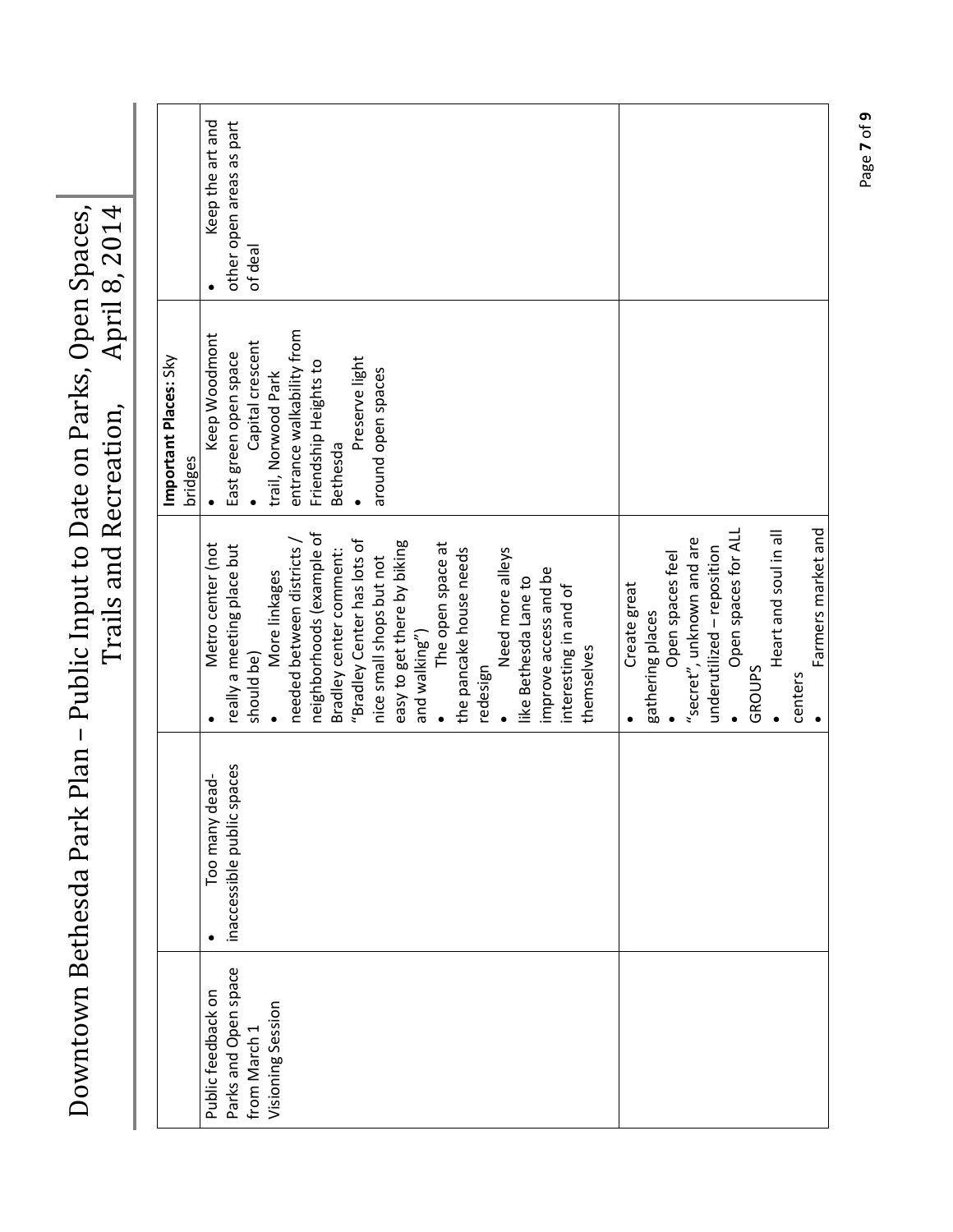|                                      |                            |                                          | Important Places: Sky<br>bridges          |                                     |
|--------------------------------------|----------------------------|------------------------------------------|-------------------------------------------|-------------------------------------|
| Public feedback on                   | Too many dead-             | Metro center (not                        | Keep Woodmont                             | Keep the art and                    |
| Parks and Open space<br>from March 1 | inaccessible public spaces | really a meeting place but<br>should be) | Capital crescent<br>East green open space | other open areas as part<br>of deal |
| Visioning Session                    |                            | More linkages                            | trail, Norwood Park                       |                                     |
|                                      |                            | needed between districts /               | entrance walkability from                 |                                     |
|                                      |                            | neighborhoods (example of                | Friendship Heights to                     |                                     |
|                                      |                            | Bradley center comment:                  | Bethesda                                  |                                     |
|                                      |                            | "Bradley Center has lots of              | Preserve light                            |                                     |
|                                      |                            | nice small shops but not                 | around open spaces                        |                                     |
|                                      |                            | easy to get there by biking              |                                           |                                     |
|                                      |                            | and walking")                            |                                           |                                     |
|                                      |                            | The open space at                        |                                           |                                     |
|                                      |                            | the pancake house needs                  |                                           |                                     |
|                                      |                            | redesign                                 |                                           |                                     |
|                                      |                            | Need more alleys                         |                                           |                                     |
|                                      |                            | like Bethesda Lane to                    |                                           |                                     |
|                                      |                            | improve access and be                    |                                           |                                     |
|                                      |                            | interesting in and of                    |                                           |                                     |
|                                      |                            | themselves                               |                                           |                                     |
|                                      |                            |                                          |                                           |                                     |
|                                      |                            | Create great                             |                                           |                                     |
|                                      |                            | gathering places                         |                                           |                                     |
|                                      |                            | Open spaces feel                         |                                           |                                     |
|                                      |                            | "secret", unknown and are                |                                           |                                     |
|                                      |                            | underutilized - reposition               |                                           |                                     |
|                                      |                            | Open spaces for ALL                      |                                           |                                     |
|                                      |                            | GROUPS                                   |                                           |                                     |
|                                      |                            | Heart and soul in all                    |                                           |                                     |
|                                      |                            | centers                                  |                                           |                                     |
|                                      |                            | Farmers market and                       |                                           |                                     |

Downtown Bethesda Park Plan - Public Input to Date on Parks, Open Spaces, Downtown Bethesda Park Plan – Public Input to Date on Parks, Open Spaces, Trails and Recreation, April 8, 2014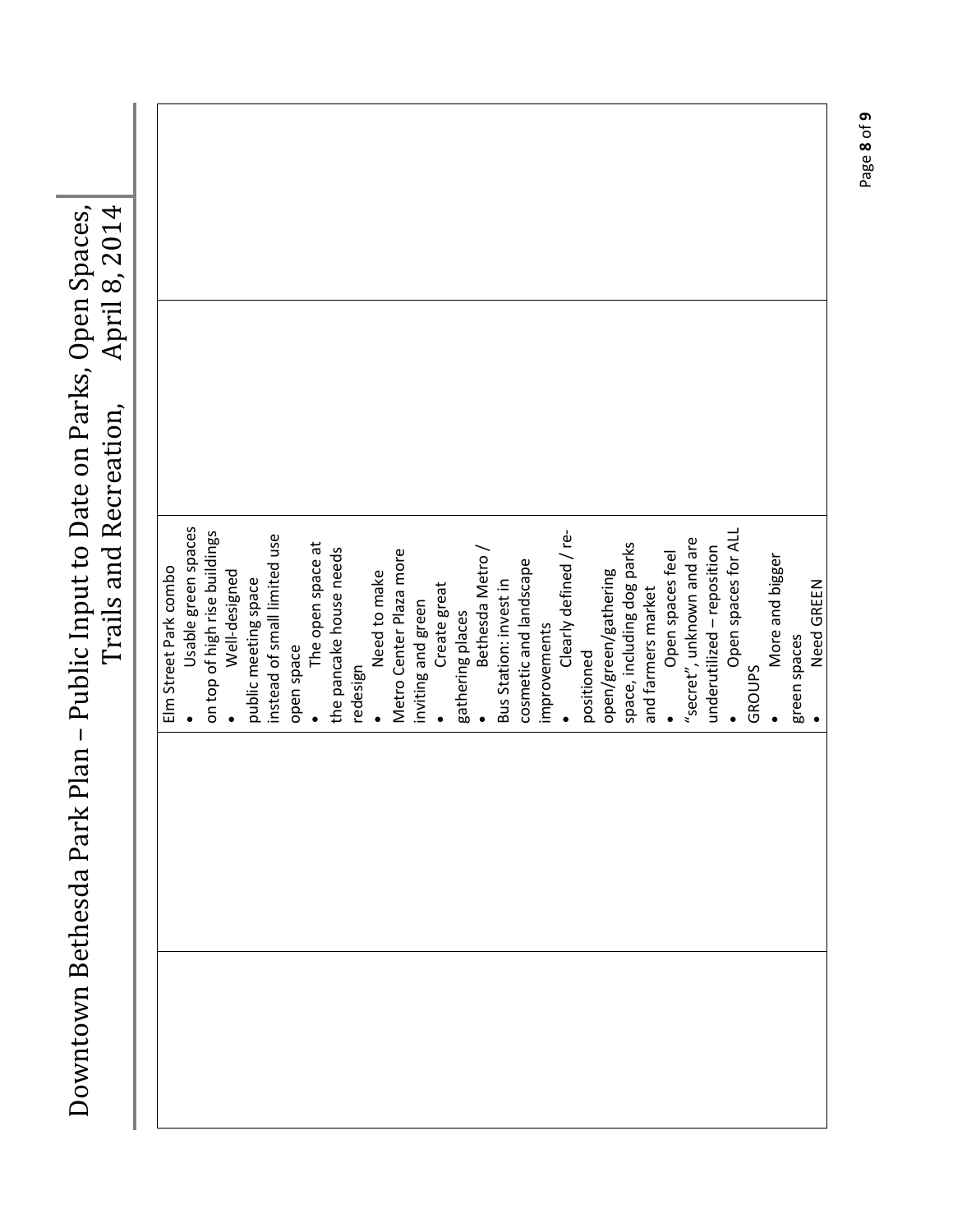| Downtown Bethesda Park | Plan - Public Input to Date on Parks, Open Spaces,<br>Trails and Recreation, | April 8, 2014 |
|------------------------|------------------------------------------------------------------------------|---------------|
|                        |                                                                              |               |
|                        | Elm Street Park combo                                                        |               |
|                        | Usable green spaces                                                          |               |
|                        | on top of high rise buildings                                                |               |
|                        | Well-designed                                                                |               |
|                        | public meeting space                                                         |               |
|                        | instead of small limited use                                                 |               |
|                        | open space                                                                   |               |
|                        | The open space at                                                            |               |
|                        | the pancake house needs                                                      |               |
|                        | redesign                                                                     |               |
|                        | Need to make                                                                 |               |
|                        | Metro Center Plaza more                                                      |               |
|                        | inviting and green                                                           |               |
|                        | Create great                                                                 |               |
|                        | gathering places                                                             |               |
|                        | Bethesda Metro /                                                             |               |
|                        | Bus Station: invest in                                                       |               |
|                        | cosmetic and landscape                                                       |               |
|                        | improvements                                                                 |               |
|                        | Clearly defined / re-                                                        |               |
|                        | positioned                                                                   |               |
|                        | open/green/gathering                                                         |               |
|                        | space, including dog parks                                                   |               |
|                        | and farmers market                                                           |               |
|                        | Open spaces feel                                                             |               |
|                        | "secret", unknown and are                                                    |               |
|                        | underutilized - reposition                                                   |               |
|                        | Open spaces for ALL                                                          |               |
|                        | <b>GROUPS</b>                                                                |               |
|                        | More and bigger                                                              |               |
|                        | green spaces                                                                 |               |
|                        | Need GREEN                                                                   |               |

Page **8** of **9**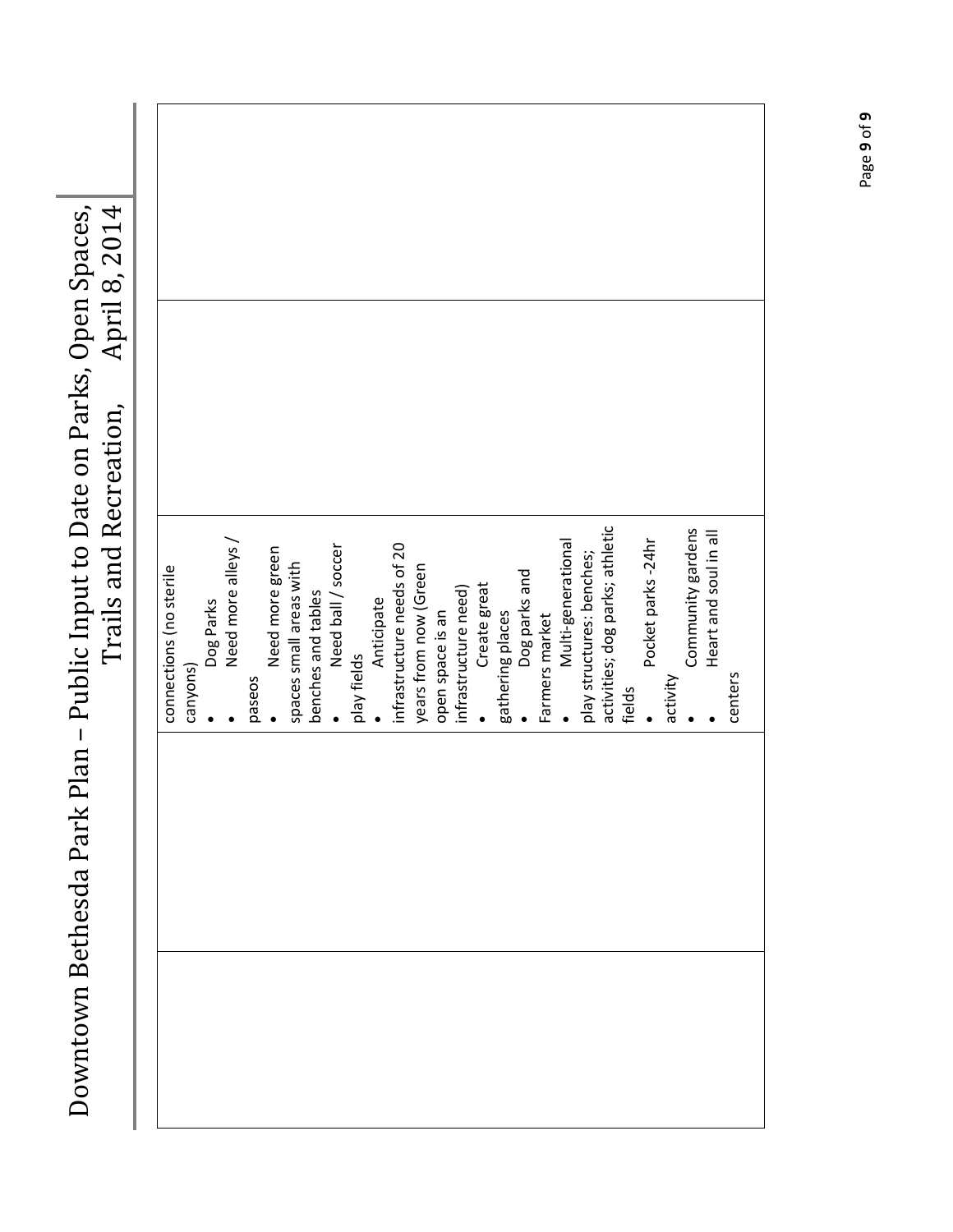| Plan – Public Input to Date on Parks, Open Spaces,<br>April 8, 2014<br>Trails and Recreation,<br><b>Oowntown Bethesda Park</b> | connections (no sterile | canyons) | Dog Parks | Need more alleys / | paseos | Need more green | spaces small areas with | benches and tables | Need ball / soccer | play fields | Anticipate | infrastructure needs of 20 | years from now (Green | open space is an | infrastructure need) | Create great | gathering places | Dog parks and | Farmers market | Multi-generational | play structures: benches; | activities; dog parks; athletic | fields | Pocket parks - 24hr | activity | Community gardens | Heart and soul in all | centers |  |
|--------------------------------------------------------------------------------------------------------------------------------|-------------------------|----------|-----------|--------------------|--------|-----------------|-------------------------|--------------------|--------------------|-------------|------------|----------------------------|-----------------------|------------------|----------------------|--------------|------------------|---------------|----------------|--------------------|---------------------------|---------------------------------|--------|---------------------|----------|-------------------|-----------------------|---------|--|
|                                                                                                                                |                         |          |           |                    |        |                 |                         |                    |                    |             |            |                            |                       |                  |                      |              |                  |               |                |                    |                           |                                 |        |                     |          |                   |                       |         |  |